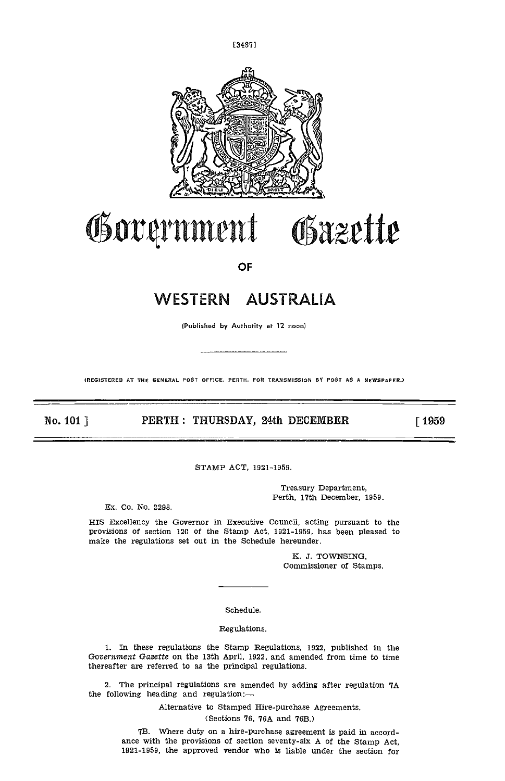



## Government Obazette

**OF** 

## WESTERN AUSTRALIA

(Published by Authority at 12 noon)

(REGISTERED AT THE GENERAL POST OFFICE. PERTH. FOR TRANSMISSION BY POST AS A NEWSPAPER.)

No. 101]

PERTH : THURSDAY, 24th DECEMBER

 $\lceil 1959 \rceil$ 

STAMP ACT, 1921-1959.

Treasury Department. Perth, 17th December, 1959.

Ex. Co. No. 2298.

HIS Excellency the Governor in Executive Council, acting pursuant to the provisions of section 120 of the Stamp Act, 1921-1959, has been pleased to make the regulations set out in the Schedule hereunder.

> K. J. TOWNSING, Commissioner of Stamps.

Schedule.

Regulations.

1. In these regulations the Stamp Regulations, 1922, published in the Government Gazette on the 13th April, 1922, and amended from time to time thereafter are referred to as the principal regulations.

2. The principal regulations are amended by adding after regulation 7A the following heading and regulation:-

Alternative to Stamped Hire-purchase Agreements.

(Sections 76, 76A and 76B.)

7B. Where duty on a hire-purchase agreement is paid in accordance with the provisions of section seventy-six A of the Stamp Act, 1921-1959, the approved vendor who is liable under the section for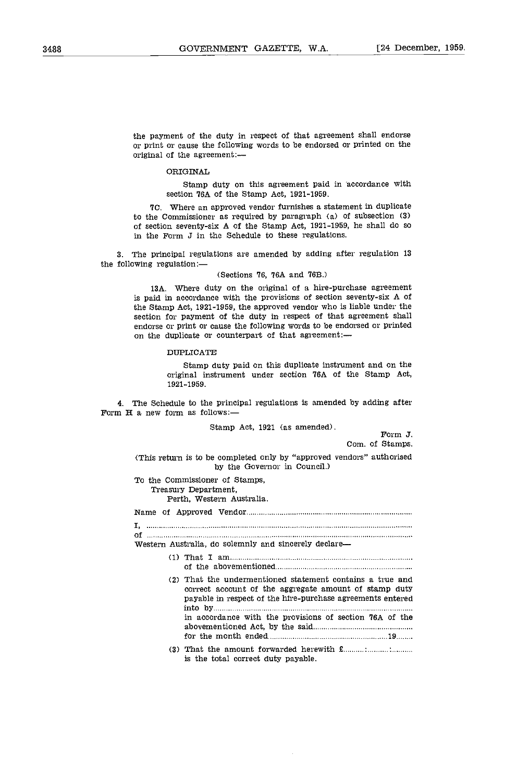the payment of the duty in respect of that agreement shall endorse or print or cause the following words to be endorsed or printed on the original of the agreement:

ORIGINAL

Stamp duty on this agreement paid in accordance with section 76A of the Stamp Act, 1921-1959.

TC. Where an approved vendor furnishes a statement in duplicate to the Commissioner as required by paragraph  $(a)$  of subsection  $(3)$ of section seventy-six A of the Stamp Act, 1921-1959, he shall do so in the Form J in the Schedule to these regulations.

The principal regulations are amended by adding after regulation 13 the following regulation:

(Sections 76, 76A and 763.)

13A. Where duty on the original of a hire-purchase agreement is paid in accordance with the provisions of section seventy-six A of the Stamp Act, 1921-1959, the approved vendor who is liable under the section for payment of the duty in respect of that agreement shall endorse or print or cause the following words to be endorsed or printed on the duplicate or counterpart of that agreement:-

## DUPLICATE

Stamp duty paid on this duplicate instrument and on the original instrument under section VGA of the Stamp Act, 1921-1959.

The Schedule to the principal regulations is amended by adding after Form H a new form as follows:

Stamp Act, 1921 (as amended).  $\begin{array}{c} \n\text{Form J.} \\
\end{array}$ 

Com. of Stamps.

(This return is to be completed only by "approved vendors" authorised by the Governor in Council.)

To the Commissioner of Stamps, Treasury Department,

Perth, Western Australia,

Name of Approved Vendor

 $\mathbf{I}_i$  , and an analysis and an anti-construction of the construction of the construction of the construction of of

Western Australia, do solemnly and sincerely declare

- That I am of the abovementioned
- That the undermentioned statement contains a true and correct account of the aggregate amount of stamp duty payable in respect of the hire-purchase agreements entered into by in accordance with the provisions of section 76A of the abovementioned Act, by the said for the month ended 19
- (3) That the amount forwarded herewith £ is the total correct duty payable.